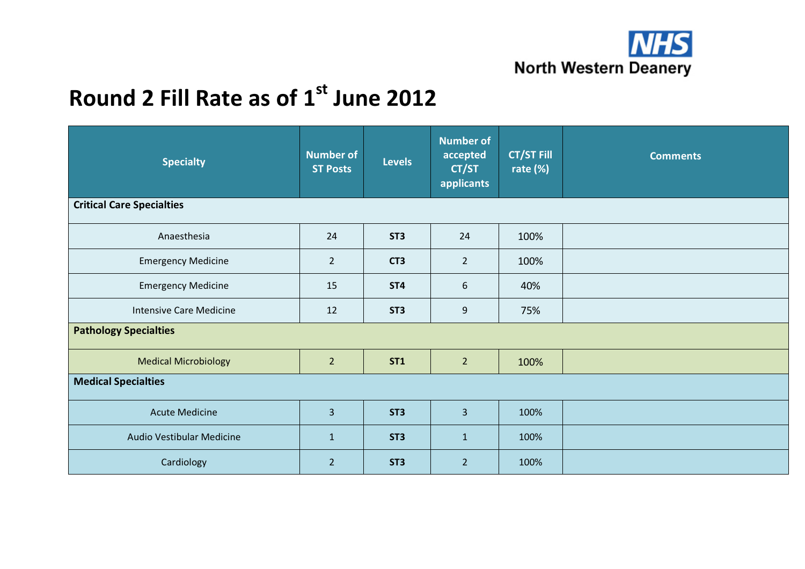

| <b>Specialty</b>                 | <b>Number of</b><br><b>ST Posts</b> | <b>Levels</b>   | Number of<br>accepted<br>CT/ST<br>applicants | <b>CT/ST Fill</b><br>rate $(\%)$ | <b>Comments</b> |  |
|----------------------------------|-------------------------------------|-----------------|----------------------------------------------|----------------------------------|-----------------|--|
| <b>Critical Care Specialties</b> |                                     |                 |                                              |                                  |                 |  |
| Anaesthesia                      | 24                                  | ST <sub>3</sub> | 24                                           | 100%                             |                 |  |
| <b>Emergency Medicine</b>        | $\overline{2}$                      | CT <sub>3</sub> | $\overline{2}$                               | 100%                             |                 |  |
| <b>Emergency Medicine</b>        | 15                                  | ST <sub>4</sub> | 6                                            | 40%                              |                 |  |
| <b>Intensive Care Medicine</b>   | 12                                  | ST <sub>3</sub> | $\mathsf 9$                                  | 75%                              |                 |  |
| <b>Pathology Specialties</b>     |                                     |                 |                                              |                                  |                 |  |
| <b>Medical Microbiology</b>      | $\overline{2}$                      | <b>ST1</b>      | $\overline{2}$                               | 100%                             |                 |  |
| <b>Medical Specialties</b>       |                                     |                 |                                              |                                  |                 |  |
| <b>Acute Medicine</b>            | 3                                   | ST <sub>3</sub> | $\overline{3}$                               | 100%                             |                 |  |
| Audio Vestibular Medicine        | $\mathbf{1}$                        | ST <sub>3</sub> | $\mathbf{1}$                                 | 100%                             |                 |  |
| Cardiology                       | $\overline{2}$                      | ST <sub>3</sub> | $\overline{2}$                               | 100%                             |                 |  |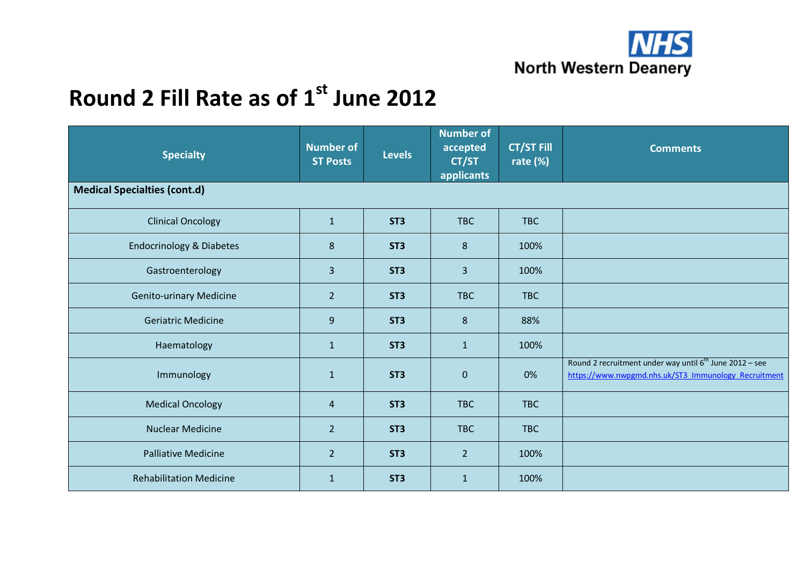

| <b>Specialty</b>                    | <b>Number of</b><br><b>ST Posts</b> | <b>Levels</b>   | <b>Number of</b><br>accepted<br>CT/ST<br>applicants | <b>CT/ST Fill</b><br>rate $(%)$ | <b>Comments</b>                                                                                                             |
|-------------------------------------|-------------------------------------|-----------------|-----------------------------------------------------|---------------------------------|-----------------------------------------------------------------------------------------------------------------------------|
| <b>Medical Specialties (cont.d)</b> |                                     |                 |                                                     |                                 |                                                                                                                             |
| <b>Clinical Oncology</b>            | $\mathbf{1}$                        | ST <sub>3</sub> | <b>TBC</b>                                          | <b>TBC</b>                      |                                                                                                                             |
| <b>Endocrinology &amp; Diabetes</b> | 8                                   | ST <sub>3</sub> | 8                                                   | 100%                            |                                                                                                                             |
| Gastroenterology                    | 3                                   | ST <sub>3</sub> | $\overline{3}$                                      | 100%                            |                                                                                                                             |
| <b>Genito-urinary Medicine</b>      | $\overline{2}$                      | ST <sub>3</sub> | <b>TBC</b>                                          | <b>TBC</b>                      |                                                                                                                             |
| <b>Geriatric Medicine</b>           | 9                                   | ST <sub>3</sub> | 8                                                   | 88%                             |                                                                                                                             |
| Haematology                         | $\mathbf{1}$                        | ST <sub>3</sub> | $\mathbf{1}$                                        | 100%                            |                                                                                                                             |
| Immunology                          | $\mathbf{1}$                        | ST <sub>3</sub> | $\boldsymbol{0}$                                    | 0%                              | Round 2 recruitment under way until 6 <sup>th</sup> June 2012 - see<br>https://www.nwpgmd.nhs.uk/ST3_Immunology_Recruitment |
| <b>Medical Oncology</b>             | $\overline{4}$                      | ST <sub>3</sub> | <b>TBC</b>                                          | <b>TBC</b>                      |                                                                                                                             |
| <b>Nuclear Medicine</b>             | $\overline{2}$                      | ST <sub>3</sub> | <b>TBC</b>                                          | <b>TBC</b>                      |                                                                                                                             |
| <b>Palliative Medicine</b>          | $\overline{2}$                      | ST <sub>3</sub> | $\overline{2}$                                      | 100%                            |                                                                                                                             |
| <b>Rehabilitation Medicine</b>      | $\mathbf{1}$                        | ST <sub>3</sub> | $\mathbf{1}$                                        | 100%                            |                                                                                                                             |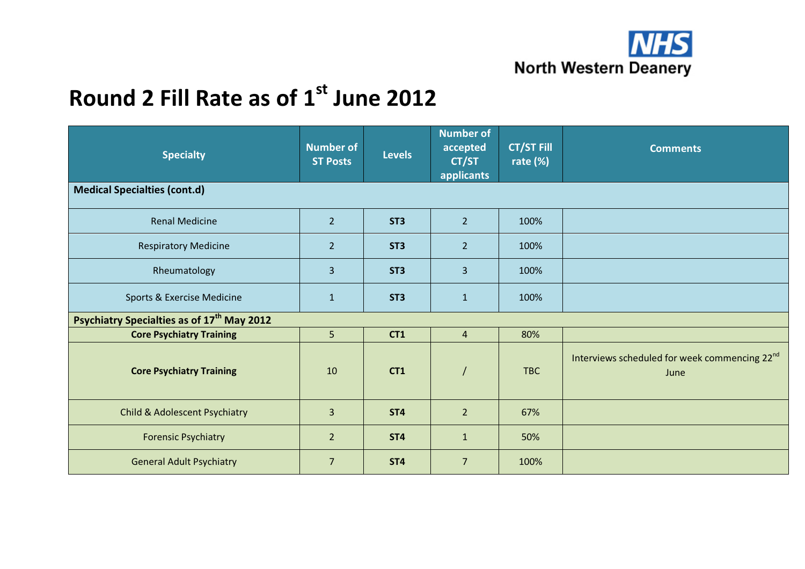

| <b>Specialty</b>                                       | <b>Number of</b><br><b>ST Posts</b> | <b>Levels</b>   | <b>Number of</b><br>accepted<br>CT/ST<br>applicants | <b>CT/ST Fill</b><br>rate $(\%)$ | <b>Comments</b>                                                   |  |  |
|--------------------------------------------------------|-------------------------------------|-----------------|-----------------------------------------------------|----------------------------------|-------------------------------------------------------------------|--|--|
| <b>Medical Specialties (cont.d)</b>                    |                                     |                 |                                                     |                                  |                                                                   |  |  |
| <b>Renal Medicine</b>                                  | $\overline{2}$                      | ST <sub>3</sub> | $\overline{2}$                                      | 100%                             |                                                                   |  |  |
| <b>Respiratory Medicine</b>                            | $\overline{2}$                      | ST <sub>3</sub> | $\overline{2}$                                      | 100%                             |                                                                   |  |  |
| Rheumatology                                           | 3                                   | ST <sub>3</sub> | $\overline{3}$                                      | 100%                             |                                                                   |  |  |
| Sports & Exercise Medicine                             | $\mathbf{1}$                        | ST <sub>3</sub> | $\mathbf{1}$                                        | 100%                             |                                                                   |  |  |
| Psychiatry Specialties as of 17 <sup>th</sup> May 2012 |                                     |                 |                                                     |                                  |                                                                   |  |  |
| <b>Core Psychiatry Training</b>                        | 5                                   | CT1             | $\overline{4}$                                      | 80%                              |                                                                   |  |  |
| <b>Core Psychiatry Training</b>                        | 10                                  | CT <sub>1</sub> |                                                     | <b>TBC</b>                       | Interviews scheduled for week commencing 22 <sup>nd</sup><br>June |  |  |
| <b>Child &amp; Adolescent Psychiatry</b>               | 3                                   | ST <sub>4</sub> | $\overline{2}$                                      | 67%                              |                                                                   |  |  |
| <b>Forensic Psychiatry</b>                             | $\overline{2}$                      | ST <sub>4</sub> | $\mathbf{1}$                                        | 50%                              |                                                                   |  |  |
| <b>General Adult Psychiatry</b>                        | $\overline{7}$                      | ST <sub>4</sub> | $\overline{7}$                                      | 100%                             |                                                                   |  |  |